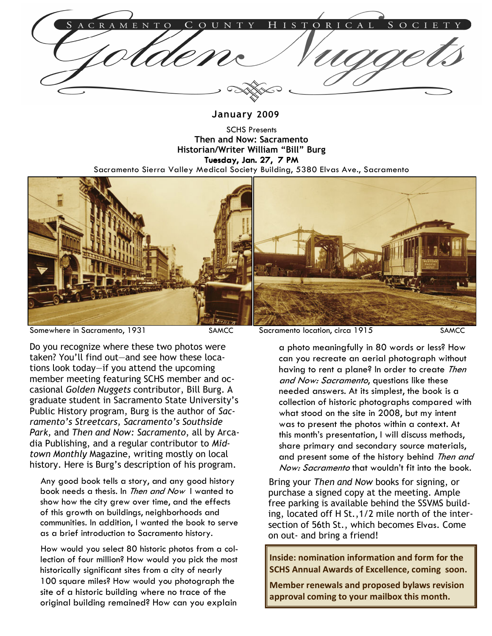January 2009

SCHS Presents Then and Now: Sacramento Historian/Writer William "Bill" Burg Tuesday, Jan. 27, 7 PM Sacramento Sierra Valley Medical Society Building, 5380 Elvas Ave., Sacramento



Somewhere in Sacramento, 1931 SAMCC Sacramento location, circa 1915 SAMCC

Do you recognize where these two photos were taken? You'll find out—and see how these locations look today—if you attend the upcoming member meeting featuring SCHS member and occasional Golden Nuggets contributor, Bill Burg. A graduate student in Sacramento State University's Public History program, Burg is the author of Sacramento's Streetcars, Sacramento's Southside Park, and Then and Now: Sacramento, all by Arcadia Publishing, and a regular contributor to Midtown Monthly Magazine, writing mostly on local history. Here is Burg's description of his program.

Any good book tells a story, and any good history book needs a thesis. In Then and Now I wanted to show how the city grew over time, and the effects of this growth on buildings, neighborhoods and communities. In addition, I wanted the book to serve as a brief introduction to Sacramento history.

How would you select 80 historic photos from a collection of four million? How would you pick the most historically significant sites from a city of nearly 100 square miles? How would you photograph the site of a historic building where no trace of the original building remained? How can you explain

a photo meaningfully in 80 words or less? How can you recreate an aerial photograph without having to rent a plane? In order to create Then and Now: Sacramento, questions like these needed answers. At its simplest, the book is a collection of historic photographs compared with what stood on the site in 2008, but my intent was to present the photos within a context. At this month's presentation, I will discuss methods, share primary and secondary source materials, and present some of the history behind Then and Now: Sacramento that wouldn't fit into the book.

Bring your Then and Now books for signing, or purchase a signed copy at the meeting. Ample free parking is available behind the SSVMS building, located off H St.,1/2 mile north of the intersection of 56th St., which becomes Elvas. Come on out- and bring a friend!

Inside: nomination information and form for the SCHS Annual Awards of Excellence, coming soon.

Member renewals and proposed bylaws revision approval coming to your mailbox this month.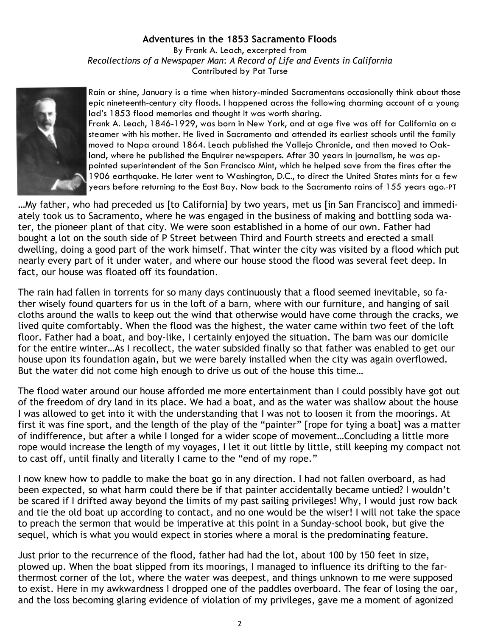## Adventures in the 1853 Sacramento Floods

By Frank A. Leach, excerpted from Recollections of a Newspaper Man: A Record of Life and Events in California Contributed by Pat Turse



Rain or shine, January is a time when history-minded Sacramentans occasionally think about those epic nineteenth-century city floods. I happened across the following charming account of a young lad's 1853 flood memories and thought it was worth sharing.

Frank A. Leach, 1846-1929, was born in New York, and at age five was off for California on a steamer with his mother. He lived in Sacramento and attended its earliest schools until the family moved to Napa around 1864. Leach published the Vallejo Chronicle, and then moved to Oakland, where he published the Enquirer newspapers. After 30 years in journalism, he was appointed superintendent of the San Francisco Mint, which he helped save from the fires after the 1906 earthquake. He later went to Washington, D.C., to direct the United States mints for a few years before returning to the East Bay. Now back to the Sacramento rains of 155 years ago.-PT

…My father, who had preceded us [to California] by two years, met us [in San Francisco] and immediately took us to Sacramento, where he was engaged in the business of making and bottling soda water, the pioneer plant of that city. We were soon established in a home of our own. Father had bought a lot on the south side of P Street between Third and Fourth streets and erected a small dwelling, doing a good part of the work himself. That winter the city was visited by a flood which put nearly every part of it under water, and where our house stood the flood was several feet deep. In fact, our house was floated off its foundation.

The rain had fallen in torrents for so many days continuously that a flood seemed inevitable, so father wisely found quarters for us in the loft of a barn, where with our furniture, and hanging of sail cloths around the walls to keep out the wind that otherwise would have come through the cracks, we lived quite comfortably. When the flood was the highest, the water came within two feet of the loft floor. Father had a boat, and boy-like, I certainly enjoyed the situation. The barn was our domicile for the entire winter…As I recollect, the water subsided finally so that father was enabled to get our house upon its foundation again, but we were barely installed when the city was again overflowed. But the water did not come high enough to drive us out of the house this time…

The flood water around our house afforded me more entertainment than I could possibly have got out of the freedom of dry land in its place. We had a boat, and as the water was shallow about the house I was allowed to get into it with the understanding that I was not to loosen it from the moorings. At first it was fine sport, and the length of the play of the "painter" [rope for tying a boat] was a matter of indifference, but after a while I longed for a wider scope of movement…Concluding a little more rope would increase the length of my voyages, I let it out little by little, still keeping my compact not to cast off, until finally and literally I came to the "end of my rope."

I now knew how to paddle to make the boat go in any direction. I had not fallen overboard, as had been expected, so what harm could there be if that painter accidentally became untied? I wouldn't be scared if I drifted away beyond the limits of my past sailing privileges! Why, I would just row back and tie the old boat up according to contact, and no one would be the wiser! I will not take the space to preach the sermon that would be imperative at this point in a Sunday-school book, but give the sequel, which is what you would expect in stories where a moral is the predominating feature.

Just prior to the recurrence of the flood, father had had the lot, about 100 by 150 feet in size, plowed up. When the boat slipped from its moorings, I managed to influence its drifting to the farthermost corner of the lot, where the water was deepest, and things unknown to me were supposed to exist. Here in my awkwardness I dropped one of the paddles overboard. The fear of losing the oar, and the loss becoming glaring evidence of violation of my privileges, gave me a moment of agonized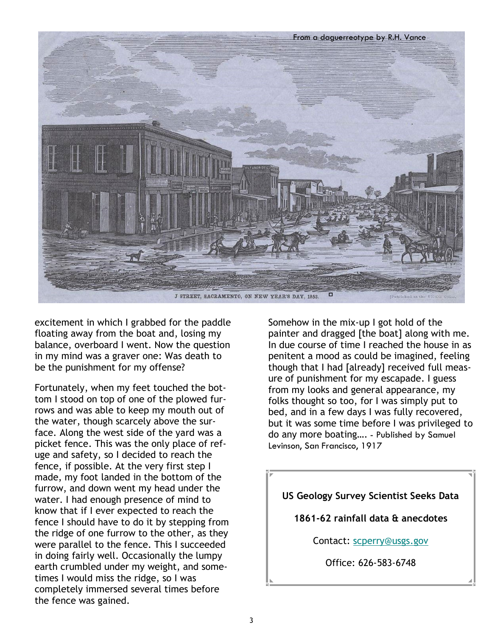

excitement in which I grabbed for the paddle floating away from the boat and, losing my balance, overboard I went. Now the question in my mind was a graver one: Was death to be the punishment for my offense?

Fortunately, when my feet touched the bottom I stood on top of one of the plowed furrows and was able to keep my mouth out of the water, though scarcely above the surface. Along the west side of the yard was a picket fence. This was the only place of refuge and safety, so I decided to reach the fence, if possible. At the very first step I made, my foot landed in the bottom of the furrow, and down went my head under the water. I had enough presence of mind to know that if I ever expected to reach the fence I should have to do it by stepping from the ridge of one furrow to the other, as they were parallel to the fence. This I succeeded in doing fairly well. Occasionally the lumpy earth crumbled under my weight, and sometimes I would miss the ridge, so I was completely immersed several times before the fence was gained.

Somehow in the mix-up I got hold of the painter and dragged [the boat] along with me. In due course of time I reached the house in as penitent a mood as could be imagined, feeling though that I had [already] received full measure of punishment for my escapade. I guess from my looks and general appearance, my folks thought so too, for I was simply put to bed, and in a few days I was fully recovered, but it was some time before I was privileged to do any more boating…. - Published by Samuel Levinson, San Francisco, 1917

## US Geology Survey Scientist Seeks Data

1861-62 rainfall data & anecdotes

Contact: scperry@usgs.gov

Office: 626-583-6748